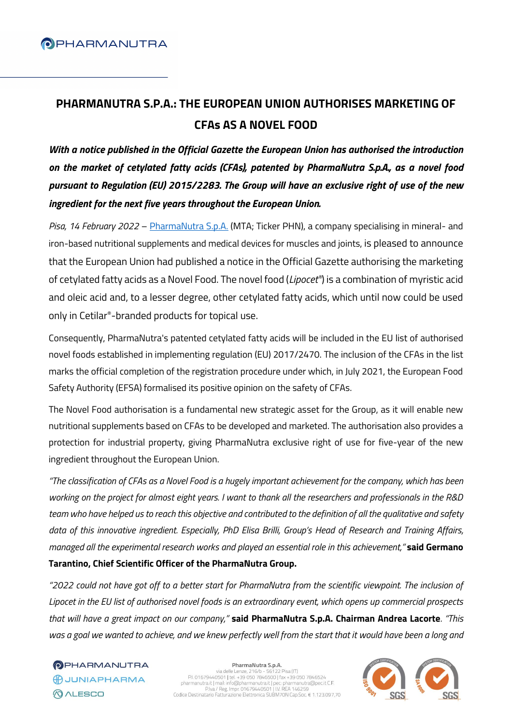# **PHARMANUTRA S.P.A.: THE EUROPEAN UNION AUTHORISES MARKETING OF CFAs AS A NOVEL FOOD**

*With a notice published in the Official Gazette the European Union has authorised the introduction on the market of cetylated fatty acids (CFAs), patented by PharmaNutra S.p.A., as a novel food pursuant to Regulation (EU) 2015/2283. The Group will have an exclusive right of use of the new ingredient for the next five years throughout the European Union.*

*Pisa, 14 February 2022* – [PharmaNutra S.p.A.](https://www.pharmanutra.it/it/) (MTA; Ticker PHN), a company specialising in mineral- and iron-based nutritional supplements and medical devices for muscles and joints, is pleased to announce that the European Union had published a notice in the Official Gazette authorising the marketing of cetylated fatty acids as a Novel Food. The novel food (*Lipocet®* ) is a combination of myristic acid and oleic acid and, to a lesser degree, other cetylated fatty acids, which until now could be used only in Cetilar® -branded products for topical use.

Consequently, PharmaNutra's patented cetylated fatty acids will be included in the EU list of authorised novel foods established in implementing regulation (EU) 2017/2470. The inclusion of the CFAs in the list marks the official completion of the registration procedure under which, in July 2021, the European Food Safety Authority (EFSA) formalised its positive opinion on the safety of CFAs.

The Novel Food authorisation is a fundamental new strategic asset for the Group, as it will enable new nutritional supplements based on CFAs to be developed and marketed. The authorisation also provides a protection for industrial property, giving PharmaNutra exclusive right of use for five-year of the new ingredient throughout the European Union.

*"The classification of CFAs as a Novel Food is a hugely important achievement for the company, which has been working on the project for almost eight years. I want to thank all the researchers and professionals in the R&D team who have helped us to reach this objective and contributed to the definition of all the qualitative and safety data of this innovative ingredient. Especially, PhD Elisa Brilli, Group's Head of Research and Training Affairs, managed all the experimental research works and played an essential role in this achievement,"* **said Germano Tarantino, Chief Scientific Officer of the PharmaNutra Group.**

*"2022 could not have got off to a better start for PharmaNutra from the scientific viewpoint. The inclusion of Lipocet in the EU list of authorised novel foods is an extraordinary event, which opens up commercial prospects that will have a great impact on our company,"* **said PharmaNutra S.p.A. Chairman Andrea Lacorte***. "This was a goal we wanted to achieve, and we knew perfectly well from the start that it would have been a long and* 

**OPHARMANUTRA** BUUNIAPHARMA **QALESCO** 

PharmaNutra S.p.A. Piarmanutra 3.0.8.1.<br>P.I. 01679440501 | tel. +39 050 7846500 | fax +39 050 7846524<br>Pisarmanutra (Imali: info@pharmanutra it | personal personal personal personal personal personal personal per<br>Pixa / Reg. Impr. 0167944050